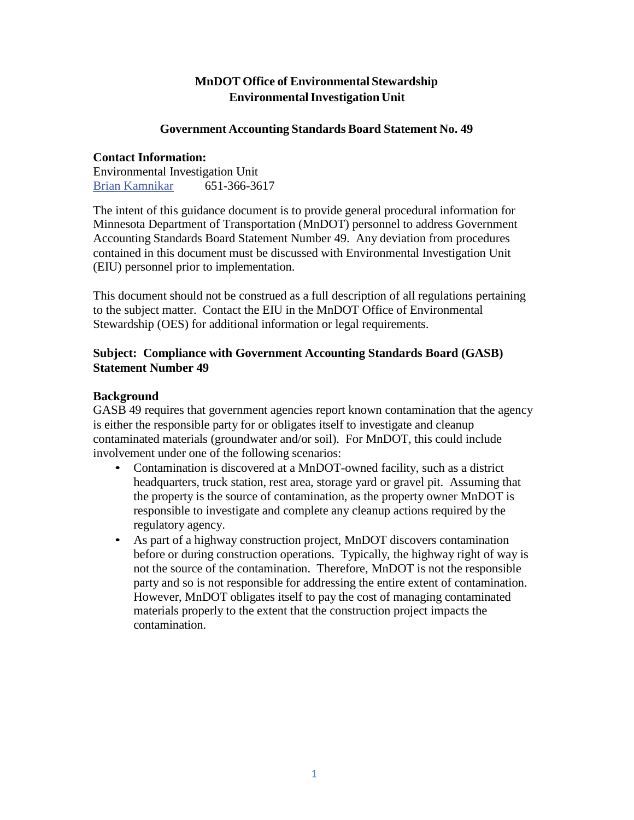# **MnDOT Office of Environmental Stewardship EnvironmentalInvestigation Unit**

#### **Government Accounting Standards Board Statement No. 49**

#### **Contact Information:**

Environmental Investigation Unit Brian Kamnikar 651-366-3617

The intent of this guidance document is to provide general procedural information for Minnesota Department of Transportation (MnDOT) personnel to address Government Accounting Standards Board Statement Number 49. Any deviation from procedures contained in this document must be discussed with Environmental Investigation Unit (EIU) personnel prior to implementation.

This document should not be construed as a full description of all regulations pertaining to the subject matter. Contact the EIU in the MnDOT Office of Environmental Stewardship (OES) for additional information or legal requirements.

## **Subject: Compliance with Government Accounting Standards Board (GASB) Statement Number 49**

#### **Background**

GASB 49 requires that government agencies report known contamination that the agency is either the responsible party for or obligates itself to investigate and cleanup contaminated materials (groundwater and/or soil). For MnDOT, this could include involvement under one of the following scenarios:

- Contamination is discovered at a MnDOT-owned facility, such as a district headquarters, truck station, rest area, storage yard or gravel pit. Assuming that the property is the source of contamination, as the property owner MnDOT is responsible to investigate and complete any cleanup actions required by the regulatory agency.
- As part of a highway construction project, MnDOT discovers contamination before or during construction operations. Typically, the highway right of way is not the source of the contamination. Therefore, MnDOT is not the responsible party and so is not responsible for addressing the entire extent of contamination. However, MnDOT obligates itself to pay the cost of managing contaminated materials properly to the extent that the construction project impacts the contamination.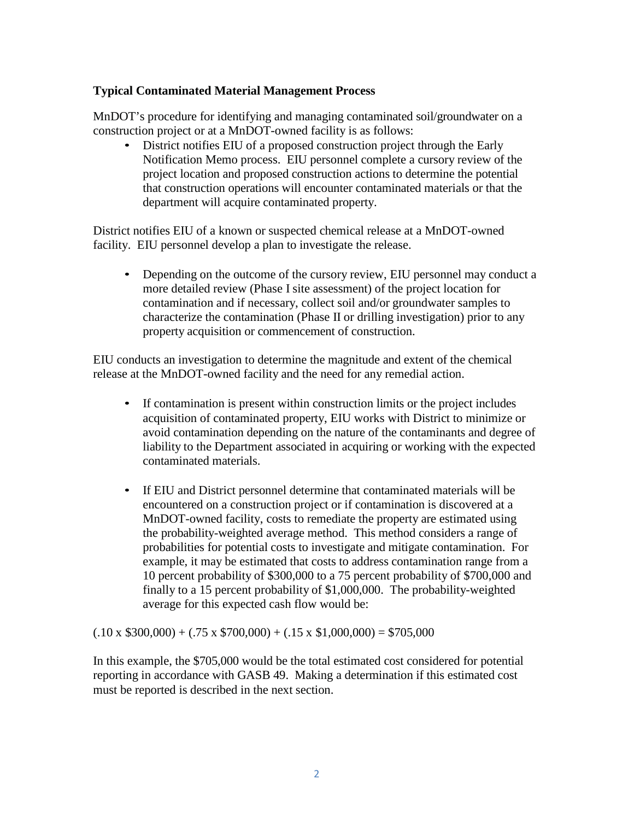### **Typical Contaminated Material Management Process**

MnDOT's procedure for identifying and managing contaminated soil/groundwater on a construction project or at a MnDOT-owned facility is as follows:

• District notifies EIU of a proposed construction project through the Early Notification Memo process. EIU personnel complete a cursory review of the project location and proposed construction actions to determine the potential that construction operations will encounter contaminated materials or that the department will acquire contaminated property.

District notifies EIU of a known or suspected chemical release at a MnDOT-owned facility. EIU personnel develop a plan to investigate the release.

• Depending on the outcome of the cursory review, EIU personnel may conduct a more detailed review (Phase I site assessment) of the project location for contamination and if necessary, collect soil and/or groundwater samples to characterize the contamination (Phase II or drilling investigation) prior to any property acquisition or commencement of construction.

EIU conducts an investigation to determine the magnitude and extent of the chemical release at the MnDOT-owned facility and the need for any remedial action.

- If contamination is present within construction limits or the project includes acquisition of contaminated property, EIU works with District to minimize or avoid contamination depending on the nature of the contaminants and degree of liability to the Department associated in acquiring or working with the expected contaminated materials.
- If EIU and District personnel determine that contaminated materials will be encountered on a construction project or if contamination is discovered at a MnDOT-owned facility, costs to remediate the property are estimated using the probability-weighted average method. This method considers a range of probabilities for potential costs to investigate and mitigate contamination. For example, it may be estimated that costs to address contamination range from a 10 percent probability of \$300,000 to a 75 percent probability of \$700,000 and finally to a 15 percent probability of \$1,000,000. The probability-weighted average for this expected cash flow would be:

 $(.10 \times $300,000) + (.75 \times $700,000) + (.15 \times $1,000,000) = $705,000$ 

In this example, the \$705,000 would be the total estimated cost considered for potential reporting in accordance with GASB 49. Making a determination if this estimated cost must be reported is described in the next section.